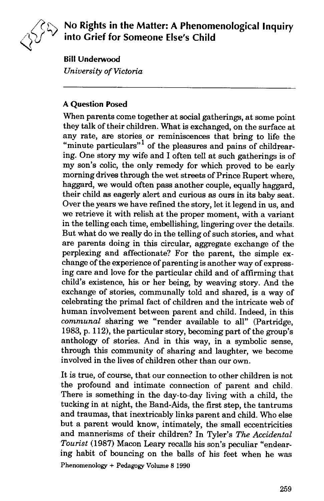

# No Rights in the Matter: A Phenomenological Inquiry  $\left\langle \zeta \right\rangle ^{\prime}\mathbb{V}$  into Grief for Someone Else's Child

Bill Underwood University of Victoria

## A Question Posed

When parents come together at social gatherings, at some point they talk of their children. What is exchanged, on the surface at any rate, are stories or reminiscences that bring to life the "minute particulars" $1$  of the pleasures and pains of childrearing. One story my wife and I often tell at such gatherings is of my son's colic, the only remedy for which proved to be early morning drives through the wet streets of Prince Rupert where, haggard, we would often pass another couple, equally haggard, their child as eagerly alert and curious as ours in its baby seat. Over the years we have refined the story, let it legend in us, and we retrieve it with relish at the proper moment, with a variant in the telling each time, embellishing, lingering over the details. But what do we really do in the telling of such stories, and what are parents doing in this circular, aggregate exchange of the perplexing and affectionate? For the parent, the simple ex change of the experience of parenting is another way of express ing care and love for the particular child and of affirming that child's existence, his or her being, by weaving story. And the exchange of stories, communally told and shared, is a way of celebrating the primal fact of children and the intricate web of human involvement between parent and child. Indeed, in this communal sharing we "render available to all" (Partridge, 1983, p. 112), the particular story, becoming part of the group's anthology of stories. And in this way, in a symbolic sense, through this community of sharing and laughter, we become involved in the lives of children other than our own.

It is true, of course, that our connection to other children is not the profound and intimate connection of parent and child. There is something in the day-to-day living with a child, the tucking in at night, the Band-Aids, the first step, the tantrums and traumas, that inextricably links parent and child. Who else but a parent would know, intimately, the small eccentricities and mannerisms of their children? In Tyler's The Accidental Tourist (1987) Macon Leary recalls his son's peculiar "endear ing habit of bouncing on the balls of his feet when he was Phenomenology + Pedagogy Volume 8 1990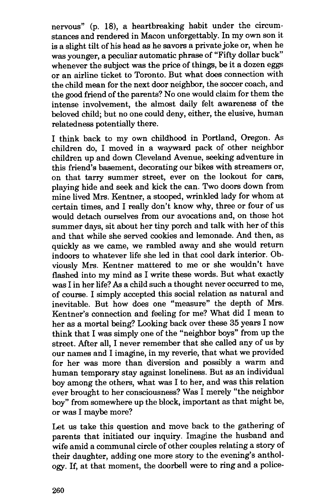nervous" (p. 18), a heartbreaking habit under the circum stances and rendered in Macon unforgettably. In my own son it is a slight tilt of his head as he savors a private joke or, when he was younger, a peculiar automatic phrase of "Fifty dollar buck" whenever the subject was the price of things, be it a dozen eggs or an airline ticket to Toronto. But what does connection with the child mean for the next door neighbor, the soccer coach, and the good friend of the parents? No one would claim for them the intense involvement, the almost daily felt awareness of the beloved child; but no one could deny, either, the elusive, human relatedness potentially there.

I think back to my own childhood in Portland, Oregon. As children do, I moved in a wayward pack of other neighbor children up and down Cleveland Avenue, seeking adventure in this friend's basement, decorating our bikes with streamers or, on that tarry summer street, ever on the lookout for cars, playing hide and seek and kick the can. Two doors down from mine lived Mrs. Kentner, a stooped, wrinkled lady for whom at certain times, and I really don't know why, three or four of us would detach ourselves from our avocations and, on those hot summer days, sit about her tiny porch and talk with her of this and that while she served cookies and lemonade. And then, as quickly as we came, we rambled away and she would return indoors to whatever life she led in that cool dark interior. Ob viously Mrs. Kentner mattered to me or she wouldn't have flashed into my mind as I write these words. But what exactly was Tin her life? As a child such a thought never occurred to me, of course. I simply accepted this social relation as natural and inevitable. But how does one "measure" the depth of Mrs. Kentner's connection and feeling for me? What did I mean to her as a mortal being? Looking back over these 35 years I now think that I was simply one of the "neighbor boys" from up the street. After all, I never remember that she called any of us by our names and I imagine, in my reverie, that what we provided for her was more than diversion and possibly a warm and human temporary stay against loneliness. But as an individual boy among the others, what was I to her, and was this relation ever brought to her consciousness? Was I merely "the neighbor boy" from somewhere up the block, important as that might be, or was I maybe more?

Let us take this question and move back to the gathering of parents that initiated our inquiry. Imagine the husband and wife amid a communal circle of other couples relating a story of their daughter, adding one more story to the evening's anthol ogy. If, at that moment, the doorbell were to ring and a police-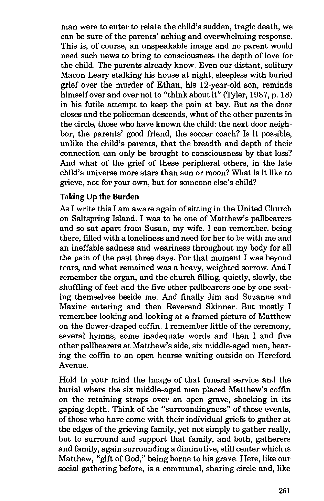man were to enter to relate the child's sudden, tragic death, we can be sure of the parents' aching and overwhelming response. This is, of course, an unspeakable image and no parent would need such news to bring to consciousness the depth of love for the child. The parents already know. Even our distant, solitary Macon Leary stalking his house at night, sleepless with buried grief over the murder of Ethan, his 12-year-old son, reminds himself over and over not to "think about it" (Tyler, 1987, p. 18) in his futile attempt to keep the pain at bay. But as the door closes and the policeman descends, what of the other parents in the circle, those who have known the child: the next door neigh bor, the parents' good friend, the soccer coach? Is it possible, unlike the child's parents, that the breadth and depth of their connection can only be brought to consciousness by that loss? And what of the grief of these peripheral others, in the late child's universe more stars than sun or moon? What is it like to grieve, not for your own, but for someone else's child?

## Taking Up the Burden

As I write this I am aware again of sitting in the United Church on Saltspring Island. I was to be one of Matthew's pallbearers and so sat apart from Susan, my wife. I can remember, being there, filled with a loneliness and need for her to be with me and an ineffable sadness and weariness throughout my body for all the pain of the past three days. For that moment I was beyond tears, and what remained was a heavy, weighted sorrow. And I remember the organ, and the church filling, quietly, slowly, the shuffling of feet and the five other pallbearers one by one seat ing themselves beside me. And finally Jim and Suzanne and Maxine entering and then Reverend Skinner. But mostly I remember looking and looking at a framed picture of Matthew on the flower-draped coffin. I remember little of the ceremony, several hymns, some inadequate words and then I and five other pallbearers at Matthew's side, six middle-aged men, bear ing the coffin to an open hearse waiting outside on Hereford Avenue.

Hold in your mind the image of that funeral service and the burial where the six middle-aged men placed Matthew's coffin on the retaining straps over an open grave, shocking in its gaping depth. Think of the "surroundingness" of those events, of those who have come with their individual griefs to gather at the edges of the grieving family, yet not simply to gather really, but to surround and support that family, and both, gatherers and family, again surrounding a diminutive, still center which is Matthew, "gift of God," being borne to his grave. Here, like our social gathering before, is a communal, sharing circle and, like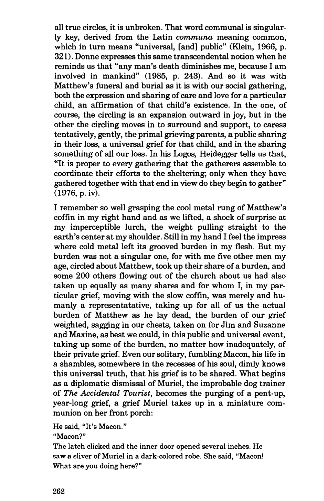all true circles, it is unbroken. That word communal is singular ly key, derived from the Latin communa meaning common, which in turn means "universal, [and] public" (Klein, 1966, p. 321). Donne expresses this same transcendental notion when he reminds us that "any man's death diminishes me, because I am involved in mankind" (1985, p. 243). And so it was with Matthew's funeral and burial as it is with our social gathering, both the expression and sharing of care and love for a particular child, an affirmation of that child's existence. In the one, of course, the circling is an expansion outward in joy, but in the other the circling moves in to surround and support, to caress tentatively, gently, the primal grieving parents, a public sharing in their loss, a universal grief for that child, and in the sharing something of all our loss. In his Logos, Heidegger tells us that, "It is proper to every gathering that the gatherers assemble to coordinate their efforts to the sheltering; only when they have gathered together with that end in view do they begin to gather" (1976, p. iv).

I remember so well grasping the cool metal rung of Matthew's coffin in my right hand and as we lifted, a shock of surprise at my imperceptible lurch, the weight pulling straight to the earth's center at my shoulder. Still in my hand I feel the impress where cold metal left its grooved burden in my flesh. But my burden was not a singular one, for with me five other men my age, circled about Matthew, took up their share of a burden, and some 200 others flowing out of the church about us had also taken up equally as many shares and for whom I, in my par ticular grief, moving with the slow coffin, was merely and hu manly a representatative, taking up for all of us the actual burden of Matthew as he lay dead, the burden of our grief weighted, sagging in our chests, taken on for Jim and Suzanne and Maxine, as best we could, in this public and universal event, taking up some of the burden, no matter how inadequately, of their private grief. Even our solitary, fumbling Macon, his life in a shambles, somewhere in the recesses of his soul, dimly knows this universal truth, that his grief is to be shared. What begins as a diplomatic dismissal of Muriel, the improbable dog trainer of The Accidental Tourist, becomes the purging of a pent-up, year-long grief, a grief Muriel takes up in a miniature com munion on her front porch:

He said, "It's Macon."

"Macon?"

The latch clicked and the inner door opened several inches. He saw a sliver of Muriel in a dark-colored robe. She said, "Macon! What are you doing here?"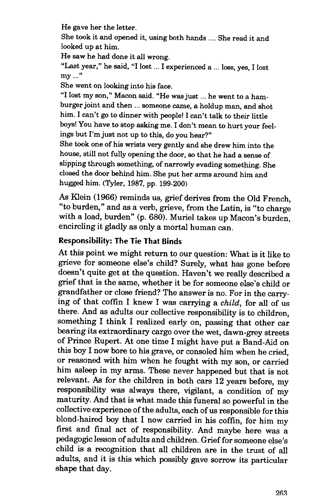He gave her the letter.

She took it and opened it, using both hands .... She read it and looked up at him.

He saw he had done it all wrong.

"Last year," he said, "I lost ...<sup>I</sup> experienced <sup>a</sup> ... loss, yes, <sup>I</sup> lost my ..."

She went on looking into his face.

"I lost my son," Macon said. "He wasjust ... he went to <sup>a</sup> ham burger joint and then ... someone came, a holdup man, and shot him. <sup>I</sup> can't go to dinner with people! <sup>I</sup> can't talk to their little boys! You have to stop asking me. <sup>I</sup> don't mean to hurt your feel ings but I'm just not up to this, do you hear?"

She took one of his wrists very gently and she drew him into the house, still not fully opening the door, so that he had <sup>a</sup> sense of slipping through something, of narrowly evading something. She closed the door behind him. She put her arms around him and hugged him. (Tyler, 1987, pp. 199-200)

As Klein (1966) reminds us, grief derives from the Old French, "to burden," and as <sup>a</sup> verb, grieve, from the Latin, is "to charge with <sup>a</sup> load, burden" (p. 680). Muriel takes up Macon's burden, encircling it <sup>g</sup>ladly as only <sup>a</sup> mortal human can.

## Responsibility: The Tie That Binds

At this point we might return to our question: What is it like to grieve for someone else's child? Surely, what has gone before doesn't quite get at the question. Haven't we really described <sup>a</sup> grief that is the same, whether it be for someone else's child or grandfather or close friend? The answer is no. For in the carry ing of that coffin <sup>I</sup> knew <sup>I</sup> was carrying <sup>a</sup> child, for all of us there. And as adults our collective responsibility is to children, something <sup>I</sup> think <sup>I</sup> realized early on, passing that other car bearing its extraordinary cargo over the wet, dawn-grey streets of Prince Rupert. At one time <sup>I</sup> might have put <sup>a</sup> Band-Aid on this boy <sup>I</sup> now bore to his grave, or consoled him when he cried, or reasoned with him when he fought with my son, or carried him asleep in my arms. These never happened but that is not relevant. As for the children in both cars <sup>12</sup> years before, my responsibility was always there, vigilant, <sup>a</sup> condition of my maturity. And that is what made this funeral so powerful in the collective experience of the adults, each of us responsible for this blond-haired boy that <sup>I</sup> now carried in his coffin, for him my first and final act of responsibility. And maybe here was <sup>a</sup> pedagogic lesson of adults and children. Grief for someone else's child is <sup>a</sup> recognition that all children are in the trust of all adults, and it is this which possibly gave sorrow its particular shape that day.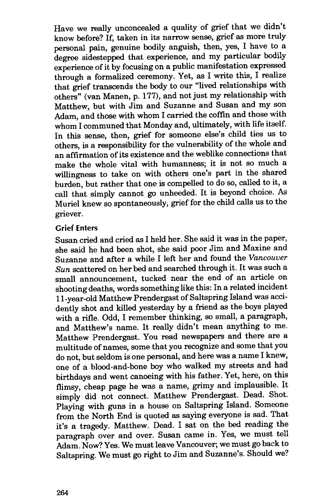Have we really unconcealed <sup>a</sup> quality of grief that we didn't know before? If, taken in its narrow sense, grief as more truly persona<sup>l</sup> pain, genuine bodily anguish, then, yes, <sup>I</sup> have to <sup>a</sup> degree sidestepped that experience, and my particular bodily experience of it by focusing on <sup>a</sup> public manifestation expresse<sup>d</sup> through <sup>a</sup> formalized ceremony. Yet, as <sup>I</sup> write this, <sup>I</sup> realize that grief transcends the body to our "lived relationships with others" (van Manen, p. 177), and not just my relationship with Matthew, but with Jim and Suzanne and Susan and my son Adam, and those with whom <sup>I</sup> carried the coffin and those with whom <sup>I</sup> communed that Monday and, ultimately, with life itself. In this sense, then, grief for someone else's child ties us to others, is <sup>a</sup> responsibility for the vulnerability of the whole and an affirmation of its existence and the weblike connections that make the whole vital with humanness; it is not so much <sup>a</sup> willingness to take on with others one's par<sup>t</sup> in the shared burden, but rather that one is compelled to do so, called to it, <sup>a</sup> call that simply cannot go unheeded. It is beyond choice. As Muriel knew so spontaneously, grief for the child calls us to the griever.

#### Grief Enters

Susan cried and cried as <sup>I</sup> held her. She said it was in the paper, she said he had been shot, she said poor Jim and Maxine and Suzanne and after <sup>a</sup> while <sup>I</sup> left her and found the Vancouver Sun scattered on her bed and searched through it. It was such <sup>a</sup> small announcement, tucked near the end of an article on shooting deaths, words something like this: In <sup>a</sup> related incident 11-year-old Matthew Prendergast of Saltspring Island was acci dently shot and killed yesterday by <sup>a</sup> friend as the boys <sup>p</sup>layed with <sup>a</sup> rifle. Odd, <sup>I</sup> remember thinking, so small, <sup>a</sup> paragraph, and Matthew's name. It really didn't mean anything to me. Matthew Prendergast. You read newspapers and there are <sup>a</sup> multitude of names, some that you recognize and some that you do not, but seldom is one personal, and here was <sup>a</sup> name <sup>I</sup> knew, one of <sup>a</sup> blood-and-bone boy who walked my streets and had birthdays and went canoeing with his father. Yet, here, on this flimsy, cheap page he was <sup>a</sup> name, grimy and implausible. It simply did not connect. Matthew Prendergast. Dead. Shot. Playing with guns in <sup>a</sup> house on Saltspring Island. Someone from the North End is quoted as saying everyone is sad. That it's <sup>a</sup> tragedy. Matthew. Dead. <sup>I</sup> sat on the bed reading the paragrap<sup>h</sup> over and over. Susan came in. Yes, we must tell Adam. Now? Yes. We must leave Vancouver; we must go back to Saltspring. We must go right to Jim and Suzanne's. Should we?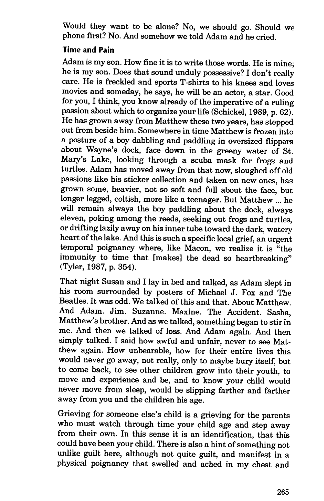Would they want to be alone? No, we should go. Should we phone first? No. And somehow we told Adam and he cried.

#### Time and Pain

Adam is my son. How fine it is to write those words. He is mine; he is my son. Does that sound unduly possessive? <sup>I</sup> don't really care. He is freckled and sports T-shirts to his knees and loves movies and someday, he says, he will be an actor, <sup>a</sup> star. Good for you, <sup>I</sup> think, you know already of the imperative of <sup>a</sup> ruling passion about which to organize your life (Schickel, 1989, p. 62). He has grown away from Matthew these two years, has stepped out from beside him. Somewhere in time Matthew is frozen into <sup>a</sup> posture of <sup>a</sup> boy dabbling and paddling in oversized flippers about Wayne's dock, face down in the greeny water of St. Mary's Lake, looking through <sup>a</sup> scuba mask for frogs and turtles. Adam has moved away from that now, sloughed off old passions like his sticker collection and taken on new ones, has grown some, heavier, not so soft and full about the face, but longer legged, coltish, more like <sup>a</sup> teenager. But Matthew ... he will remain always the boy paddling about the dock, always eleven, poking among the reeds, seeking out frogs and turtles, or drifting lazily away on his inner tube toward the dark, watery heart of the lake. And this is such <sup>a</sup> specific local grief, an urgent temporal poignancy where, like Macon, we realize it is "the immunity to time that [makes] the dead so heartbreaking" (Tyler, 1987, p. 354).

That night Susan and <sup>I</sup> lay in bed and talked, as Adam slept in his room surrounded by posters of Michael J. Fox and The Beatles. It was odd. We talked of this and that. About Matthew. And Adam. Jim. Suzanne. Maxine. The Accident. Sasha, Matthew's brother. And as we talked, something began to stir in me. And then we talked of loss. And Adam again. And then simply talked. <sup>I</sup> said how awful and unfair, never to see Mat thew again. How unbearable, how for their entire lives this would never go away, not really, only to maybe bury itself, but to come back, to see other children grow into their youth, to move and experience and be, and to know your child would never move from sleep, would be slipping farther and farther away from you and the children his age.

Grieving for someone else's child is <sup>a</sup> grieving for the parents who must watch through time your child age and step away from their own. In this sense it is an identification, that this could have been your child. There is also a hint of something not unlike guilt here, although not quite guilt, and manifest in <sup>a</sup> <sup>p</sup>hysical poignancy that swelled and ached in my chest and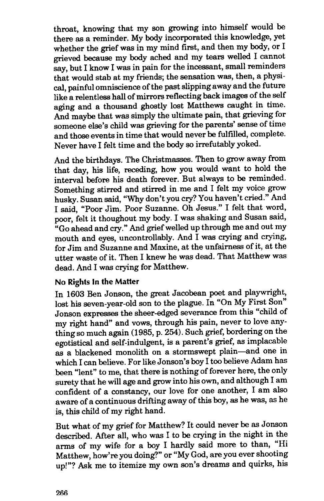throat, knowing that my son growing into himself would be there as <sup>a</sup> reminder. My body incorporated this knowledge, ye<sup>t</sup> whether the grief was in my mind first, and then my body, or <sup>I</sup> grieved because my body ached and my tears welled <sup>I</sup> cannot say, but <sup>I</sup> know <sup>I</sup> was in pain for the incessant, small reminders that would stab at my friends; the sensation was, then, <sup>a</sup> <sup>p</sup>hysi cal, painful omniscience of the past slipping away and the future like a relentless hall of mirrors reflecting back images of the self aging and <sup>a</sup> thousand <sup>g</sup>hostly lost Matthews caught in time. And maybe that was simply the ultimate pain, that grieving for someone else's child was grieving for the parents' sense of time and those events in time that would never be fulfilled, complete. Never have <sup>I</sup> felt time and the body so irrefutably yoked.

And the birthdays. The Christmasses. Then to grow away from that day, his life, receding, how you would want to hold the interval before his death forever. But always to be reminded. Something stirred and stirred in me and <sup>I</sup> felt my voice grow husky. Susan said, "Why don't you cry? You haven't cried." And I said, "Poor Jim. Poor Suzanne. Oh Jesus." <sup>I</sup> felt that word, poor, felt it thoughout my body. <sup>I</sup> was shaking and Susan said, "Go ahead and cry." And grief welled up through me and out my mouth and eyes, uncontrollably. And <sup>I</sup> was crying and crying, for Jim and Suzanne and Maxine, at the unfairness of it, at the utter waste of it. Then <sup>I</sup> knew he was dead. That Matthew was dead. And <sup>I</sup> was crying for Matthew.

#### No Rights In the Matter

In <sup>1603</sup> Ben Jonson, the grea<sup>t</sup> Jacobean poe<sup>t</sup> and <sup>p</sup>laywright, lost his seven-year-old son to the <sup>p</sup>lague. In "On My First Son" Jonson expresses the sheer-edged severance from this "child of my right hand" and vows, through his pain, never to love any thing so much again (1985, p. 254). Such grief; bordering on the egotistical and self-indulgent, is <sup>a</sup> parent's grief; as implacable as <sup>a</sup> blackened monolith on <sup>a</sup> stormswept <sup>p</sup>lain—and one in which <sup>I</sup> can believe. For like Jonson's boy <sup>I</sup> too believe Adam has been "lent" to me, that there is nothing of forever here, the only surety that he will age and grow into his own, and although <sup>I</sup> am confident of <sup>a</sup> constancy, our love for one another, <sup>I</sup> am also aware of <sup>a</sup> continuous drifting away of this boy, as he was, as he is, this child of my right hand.

But what of my grief for Matthew? It could never be as Jonson described. After all, who was <sup>I</sup> to be crying in the night in the arms of my wife for <sup>a</sup> boy <sup>I</sup> hardly said more to than, "Hi Matthew, how're you doing?" or "My God, are you ever shooting up!"? Ask me to itemize my own son's dreams and quirks, his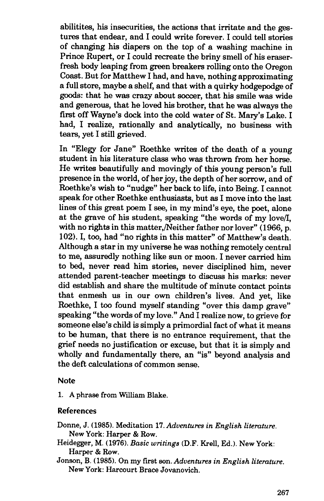abilitites, his insecurities, the actions that irritate and the ges tures that endear, and I could write forever. I could tell stories of changing his diapers on the top of a washing machine in Prince Rupert, or I could recreate the briny smell of his eraserfresh body leaping from green breakers rolling onto the Oregon Coast. But for Matthew I had, and have, nothing approximating a full store, maybe a shelf; and that with a quirky hodgepodge of goods: that he was crazy about soccer, that his smile was wide and generous, that he loved his brother, that he was always the first off Wayne's dock into the cold water of St. Mary's Lake. I had, I realize, rationally and analytically, no business with tears, yet I still grieved.

In "Elegy for Jane" Roethke writes of the death of a young student in his literature class who was thrown from her horse. He writes beautifully and movingly of this young person's full presence in the world, of herjoy, the depth of her sorrow, and of Roethke's wish to "nudge" her back to life, into Being. I cannot speak for other Roethke enthusiasts, but as I move into the last lines of this great poem I see, in my mind's eye, the poet, alone at the grave of his student, speaking "the words of my love/I, with no rights in this matter,/Neither father nor lover" (1966, p. 102). I, too, had "no rights in this matter" of Matthew's death. Although a star in my universe he was nothing remotely central to me, assuredly nothing like sun or moon. I never carried him to bed, never read him stories, never disciplined him, never attended parent-teacher meetings to discuss his marks: never did establish and share the multitude of minute contact points that enmesh us in our own children's lives. And yet, like Roethke, I too found myself standing "over this damp grave" speaking "the words of my love." And I realize now, to grieve for someone else's child is simply a primordial fact of what it means to be human, that there is no entrance requirement, that the grief needs no justification or excuse, but that it is simply and wholly and fundamentally there, an "is" beyond analysis and the deft calculations of common sense.

Note

1. A phrase from William Blake.

#### References

Donne, J. (1985). Meditation 17. Adventures in English literature. New York: Harper & Row.

Heidegger, M. (1976). Basic writings (D.F. Krell, Ed.). New York: Harper & Row.

Jonson, B. (1985). On my first son. Adventures in English literature. New York: Harcourt Brace Jovanovich.